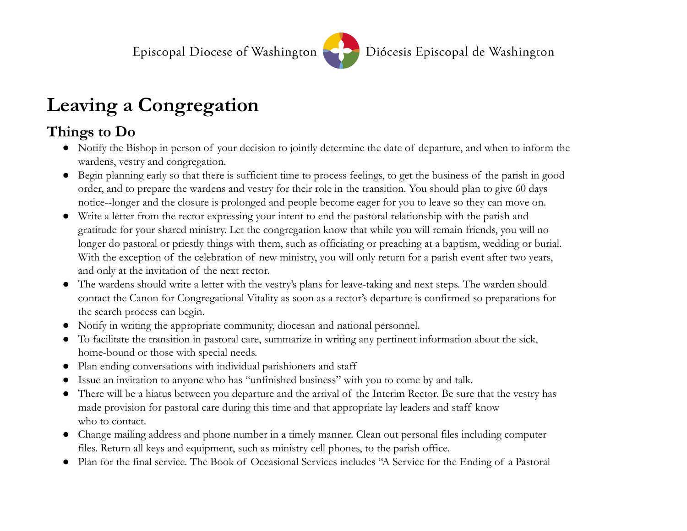

## **Leaving a Congregation**

## **Things to Do**

- Notify the Bishop in person of your decision to jointly determine the date of departure, and when to inform the wardens, vestry and congregation.
- Begin planning early so that there is sufficient time to process feelings, to get the business of the parish in good order, and to prepare the wardens and vestry for their role in the transition. You should plan to give 60 days notice--longer and the closure is prolonged and people become eager for you to leave so they can move on.
- Write a letter from the rector expressing your intent to end the pastoral relationship with the parish and gratitude for your shared ministry. Let the congregation know that while you will remain friends, you will no longer do pastoral or priestly things with them, such as officiating or preaching at a baptism, wedding or burial. With the exception of the celebration of new ministry, you will only return for a parish event after two years, and only at the invitation of the next rector.
- The wardens should write a letter with the vestry's plans for leave-taking and next steps. The warden should contact the Canon for Congregational Vitality as soon as a rector's departure is confirmed so preparations for the search process can begin.
- Notify in writing the appropriate community, diocesan and national personnel.
- To facilitate the transition in pastoral care, summarize in writing any pertinent information about the sick, home-bound or those with special needs.
- Plan ending conversations with individual parishioners and staff
- Issue an invitation to anyone who has "unfinished business" with you to come by and talk.
- There will be a hiatus between you departure and the arrival of the Interim Rector. Be sure that the vestry has made provision for pastoral care during this time and that appropriate lay leaders and staff know who to contact.
- Change mailing address and phone number in a timely manner. Clean out personal files including computer files. Return all keys and equipment, such as ministry cell phones, to the parish office.
- Plan for the final service. The Book of Occasional Services includes "A Service for the Ending of a Pastoral